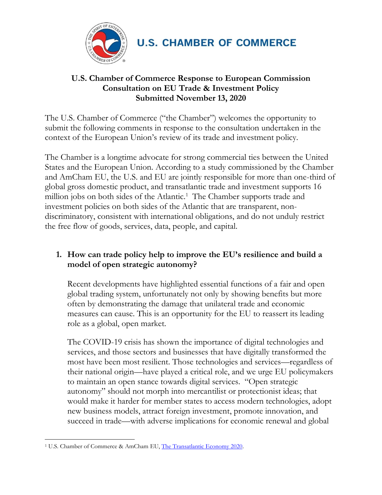

# **U.S. Chamber of Commerce Response to European Commission Consultation on EU Trade & Investment Policy Submitted November 13, 2020**

The U.S. Chamber of Commerce ("the Chamber") welcomes the opportunity to submit the following comments in response to the consultation undertaken in the context of the European Union's review of its trade and investment policy.

The Chamber is a longtime advocate for strong commercial ties between the United States and the European Union. According to a study commissioned by the Chamber and AmCham EU, the U.S. and EU are jointly responsible for more than one-third of global gross domestic product, and transatlantic trade and investment supports 16 million jobs on both sides of the Atlantic.<sup>1</sup> The Chamber supports trade and investment policies on both sides of the Atlantic that are transparent, nondiscriminatory, consistent with international obligations, and do not unduly restrict the free flow of goods, services, data, people, and capital.

# **1. How can trade policy help to improve the EU's resilience and build a model of open strategic autonomy?**

Recent developments have highlighted essential functions of a fair and open global trading system, unfortunately not only by showing benefits but more often by demonstrating the damage that unilateral trade and economic measures can cause. This is an opportunity for the EU to reassert its leading role as a global, open market.

The COVID-19 crisis has shown the importance of digital technologies and services, and those sectors and businesses that have digitally transformed the most have been most resilient. Those technologies and services—regardless of their national origin—have played a critical role, and we urge EU policymakers to maintain an open stance towards digital services. "Open strategic autonomy" should not morph into mercantilist or protectionist ideas; that would make it harder for member states to access modern technologies, adopt new business models, attract foreign investment, promote innovation, and succeed in trade—with adverse implications for economic renewal and global

<sup>&</sup>lt;sup>1</sup> U.S. Chamber of Commerce & AmCham EU, [The Transatlantic Economy 2020.](https://www.uschamber.com/sites/default/files/te2020_report_final.pdf)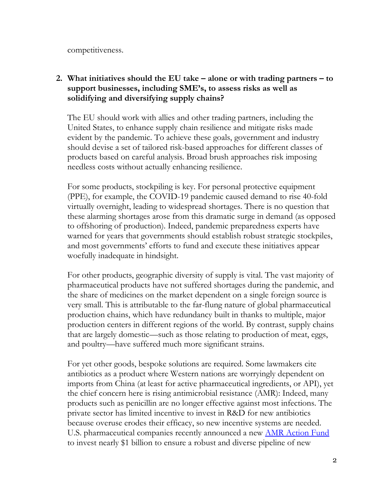competitiveness.

# **2. What initiatives should the EU take – alone or with trading partners – to support businesses, including SME's, to assess risks as well as solidifying and diversifying supply chains?**

The EU should work with allies and other trading partners, including the United States, to enhance supply chain resilience and mitigate risks made evident by the pandemic. To achieve these goals, government and industry should devise a set of tailored risk-based approaches for different classes of products based on careful analysis. Broad brush approaches risk imposing needless costs without actually enhancing resilience.

For some products, stockpiling is key. For personal protective equipment (PPE), for example, the COVID-19 pandemic caused demand to rise 40-fold virtually overnight, leading to widespread shortages. There is no question that these alarming shortages arose from this dramatic surge in demand (as opposed to offshoring of production). Indeed, pandemic preparedness experts have warned for years that governments should establish robust strategic stockpiles, and most governments' efforts to fund and execute these initiatives appear woefully inadequate in hindsight.

For other products, geographic diversity of supply is vital. The vast majority of pharmaceutical products have not suffered shortages during the pandemic, and the share of medicines on the market dependent on a single foreign source is very small. This is attributable to the far-flung nature of global pharmaceutical production chains, which have redundancy built in thanks to multiple, major production centers in different regions of the world. By contrast, supply chains that are largely domestic—such as those relating to production of meat, eggs, and poultry—have suffered much more significant strains.

For yet other goods, bespoke solutions are required. Some lawmakers cite antibiotics as a product where Western nations are worryingly dependent on imports from China (at least for active pharmaceutical ingredients, or API), yet the chief concern here is rising antimicrobial resistance (AMR): Indeed, many products such as penicillin are no longer effective against most infections. The private sector has limited incentive to invest in R&D for new antibiotics because overuse erodes their efficacy, so new incentive systems are needed. U.S. pharmaceutical companies recently announced a new **AMR** Action Fund to invest nearly \$1 billion to ensure a robust and diverse pipeline of new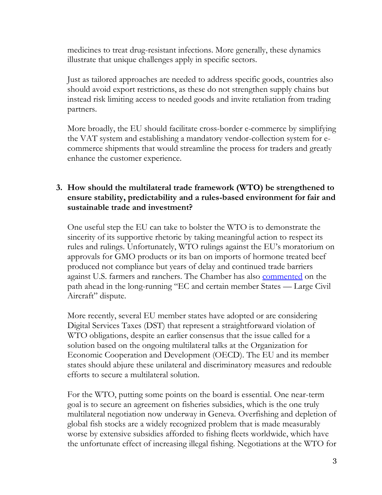medicines to treat drug-resistant infections. More generally, these dynamics illustrate that unique challenges apply in specific sectors.

Just as tailored approaches are needed to address specific goods, countries also should avoid export restrictions, as these do not strengthen supply chains but instead risk limiting access to needed goods and invite retaliation from trading partners.

More broadly, the EU should facilitate cross-border e-commerce by simplifying the VAT system and establishing a mandatory vendor-collection system for ecommerce shipments that would streamline the process for traders and greatly enhance the customer experience.

# **3. How should the multilateral trade framework (WTO) be strengthened to ensure stability, predictability and a rules-based environment for fair and sustainable trade and investment?**

One useful step the EU can take to bolster the WTO is to demonstrate the sincerity of its supportive rhetoric by taking meaningful action to respect its rules and rulings. Unfortunately, WTO rulings against the EU's moratorium on approvals for GMO products or its ban on imports of hormone treated beef produced not compliance but years of delay and continued trade barriers against U.S. farmers and ranchers. The Chamber has also **commented** on the path ahead in the long-running "EC and certain member States — Large Civil Aircraft" dispute.

More recently, several EU member states have adopted or are considering Digital Services Taxes (DST) that represent a straightforward violation of WTO obligations, despite an earlier consensus that the issue called for a solution based on the ongoing multilateral talks at the Organization for Economic Cooperation and Development (OECD). The EU and its member states should abjure these unilateral and discriminatory measures and redouble efforts to secure a multilateral solution.

For the WTO, putting some points on the board is essential. One near-term goal is to secure an agreement on fisheries subsidies, which is the one truly multilateral negotiation now underway in Geneva. Overfishing and depletion of global fish stocks are a widely recognized problem that is made measurably worse by extensive subsidies afforded to fishing fleets worldwide, which have the unfortunate effect of increasing illegal fishing. Negotiations at the WTO for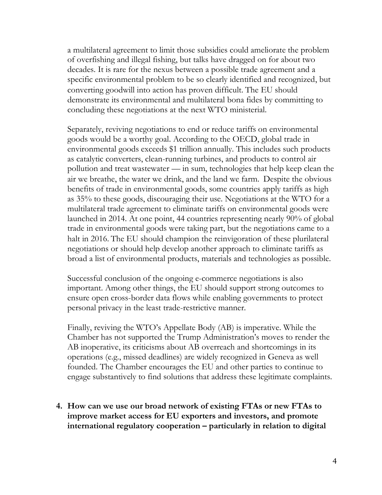a multilateral agreement to limit those subsidies could ameliorate the problem of overfishing and illegal fishing, but talks have dragged on for about two decades. It is rare for the nexus between a possible trade agreement and a specific environmental problem to be so clearly identified and recognized, but converting goodwill into action has proven difficult. The EU should demonstrate its environmental and multilateral bona fides by committing to concluding these negotiations at the next WTO ministerial.

Separately, reviving negotiations to end or reduce tariffs on environmental goods would be a worthy goal. According to the OECD, global trade in environmental goods exceeds \$1 trillion annually. This includes such products as catalytic converters, clean-running turbines, and products to control air pollution and treat wastewater — in sum, technologies that help keep clean the air we breathe, the water we drink, and the land we farm. Despite the obvious benefits of trade in environmental goods, some countries apply tariffs as high as 35% to these goods, discouraging their use. Negotiations at the WTO for a multilateral trade agreement to eliminate tariffs on environmental goods were launched in 2014. At one point, 44 countries representing nearly 90% of global trade in environmental goods were taking part, but the negotiations came to a halt in 2016. The EU should champion the reinvigoration of these plurilateral negotiations or should help develop another approach to eliminate tariffs as broad a list of environmental products, materials and technologies as possible.

Successful conclusion of the ongoing e-commerce negotiations is also important. Among other things, the EU should support strong outcomes to ensure open cross-border data flows while enabling governments to protect personal privacy in the least trade-restrictive manner.

Finally, reviving the WTO's Appellate Body (AB) is imperative. While the Chamber has not supported the Trump Administration's moves to render the AB inoperative, its criticisms about AB overreach and shortcomings in its operations (e.g., missed deadlines) are widely recognized in Geneva as well founded. The Chamber encourages the EU and other parties to continue to engage substantively to find solutions that address these legitimate complaints.

**4. How can we use our broad network of existing FTAs or new FTAs to improve market access for EU exporters and investors, and promote international regulatory cooperation – particularly in relation to digital**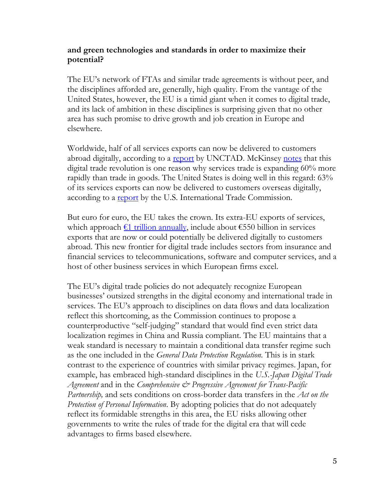### **and green technologies and standards in order to maximize their potential?**

The EU's network of FTAs and similar trade agreements is without peer, and the disciplines afforded are, generally, high quality. From the vantage of the United States, however, the EU is a timid giant when it comes to digital trade, and its lack of ambition in these disciplines is surprising given that no other area has such promise to drive growth and job creation in Europe and elsewhere.

Worldwide, half of all services exports can now be delivered to customers abroad digitally, according to a [report](https://unctad.org/en/PublicationsLibrary/der2019_overview_en.pdf) by UNCTAD. McKinsey [notes](https://www.mckinsey.com/featured-insights/innovation-and-growth/globalization-in-transition-the-future-of-trade-and-value-chains) that this digital trade revolution is one reason why services trade is expanding 60% more rapidly than trade in goods. The United States is doing well in this regard: 63% of its services exports can now be delivered to customers overseas digitally, according to a <u>report</u> by the U.S. International Trade Commission.

But euro for euro, the EU takes the crown. Its extra-EU exports of services, which approach  $f1$  trillion annually, include about  $f550$  billion in services exports that are now or could potentially be delivered digitally to customers abroad. This new frontier for digital trade includes sectors from insurance and financial services to telecommunications, software and computer services, and a host of other business services in which European firms excel.

The EU's digital trade policies do not adequately recognize European businesses' outsized strengths in the digital economy and international trade in services. The EU's approach to disciplines on data flows and data localization reflect this shortcoming, as the Commission continues to propose a counterproductive "self-judging" standard that would find even strict data localization regimes in China and Russia compliant. The EU maintains that a weak standard is necessary to maintain a conditional data transfer regime such as the one included in the *General Data Protection Regulation.* This is in stark contrast to the experience of countries with similar privacy regimes. Japan, for example, has embraced high-standard disciplines in the *U.S.-Japan Digital Trade Agreement* and in the *Comprehensive & Progressive Agreement for Trans-Pacific Partnership,* and sets conditions on cross-border data transfers in the *Act on the Protection of Personal Information*. By adopting policies that do not adequately reflect its formidable strengths in this area, the EU risks allowing other governments to write the rules of trade for the digital era that will cede advantages to firms based elsewhere.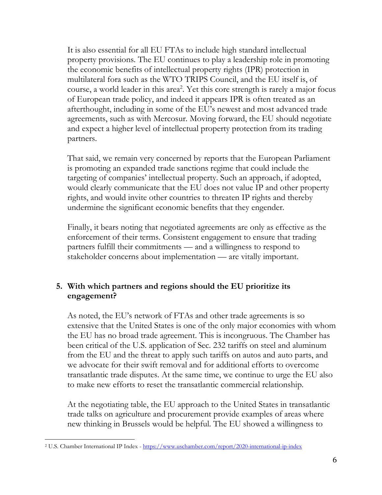It is also essential for all EU FTAs to include high standard intellectual property provisions. The EU continues to play a leadership role in promoting the economic benefits of intellectual property rights (IPR) protection in multilateral fora such as the WTO TRIPS Council, and the EU itself is, of course, a world leader in this area<sup>2</sup>. Yet this core strength is rarely a major focus of European trade policy, and indeed it appears IPR is often treated as an afterthought, including in some of the EU's newest and most advanced trade agreements, such as with Mercosur. Moving forward, the EU should negotiate and expect a higher level of intellectual property protection from its trading partners.

That said, we remain very concerned by reports that the European Parliament is promoting an expanded trade sanctions regime that could include the targeting of companies' intellectual property. Such an approach, if adopted, would clearly communicate that the EU does not value IP and other property rights, and would invite other countries to threaten IP rights and thereby undermine the significant economic benefits that they engender.

Finally, it bears noting that negotiated agreements are only as effective as the enforcement of their terms. Consistent engagement to ensure that trading partners fulfill their commitments — and a willingness to respond to stakeholder concerns about implementation — are vitally important.

# **5. With which partners and regions should the EU prioritize its engagement?**

As noted, the EU's network of FTAs and other trade agreements is so extensive that the United States is one of the only major economies with whom the EU has no broad trade agreement. This is incongruous. The Chamber has been critical of the U.S. application of Sec. 232 tariffs on steel and aluminum from the EU and the threat to apply such tariffs on autos and auto parts, and we advocate for their swift removal and for additional efforts to overcome transatlantic trade disputes. At the same time, we continue to urge the EU also to make new efforts to reset the transatlantic commercial relationship.

At the negotiating table, the EU approach to the United States in transatlantic trade talks on agriculture and procurement provide examples of areas where new thinking in Brussels would be helpful. The EU showed a willingness to

<sup>&</sup>lt;sup>2</sup> U.S. Chamber International IP Index - <https://www.uschamber.com/report/2020-international-ip-index>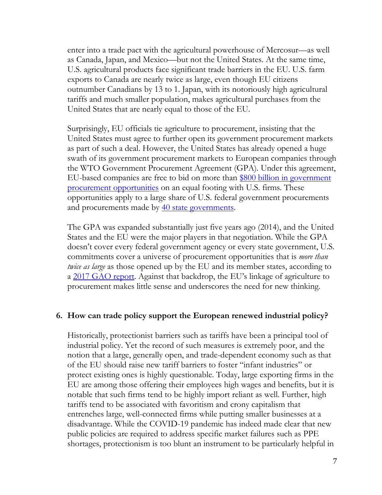enter into a trade pact with the agricultural powerhouse of Mercosur—as well as Canada, Japan, and Mexico—but not the United States. At the same time, U.S. agricultural products face significant trade barriers in the EU. U.S. farm exports to Canada are nearly twice as large, even though EU citizens outnumber Canadians by 13 to 1. Japan, with its notoriously high agricultural tariffs and much smaller population, makes agricultural purchases from the United States that are nearly equal to those of the EU.

Surprisingly, EU officials tie agriculture to procurement, insisting that the United States must agree to further open its government procurement markets as part of such a deal. However, the United States has already opened a huge swath of its government procurement markets to European companies through the WTO Government Procurement Agreement (GPA). Under this agreement, EU-based companies are free to bid on more than \$800 billion in government [procurement opportunities](https://www.gao.gov/assets/690/682663.pdf) on an equal footing with U.S. firms. These opportunities apply to a large share of U.S. federal government procurements and procurements made by [40 state governments.](https://trade.djaghe.com/?p=771)

The GPA was expanded substantially just five years ago (2014), and the United States and the EU were the major players in that negotiation. While the GPA doesn't cover every federal government agency or every state government, U.S. commitments cover a universe of procurement opportunities that is *more than twice as large* as those opened up by the EU and its member states, according to a [2017 GAO report](https://www.gao.gov/assets/690/682663.pdf). Against that backdrop, the EU's linkage of agriculture to procurement makes little sense and underscores the need for new thinking.

#### **6. How can trade policy support the European renewed industrial policy?**

Historically, protectionist barriers such as tariffs have been a principal tool of industrial policy. Yet the record of such measures is extremely poor, and the notion that a large, generally open, and trade-dependent economy such as that of the EU should raise new tariff barriers to foster "infant industries" or protect existing ones is highly questionable. Today, large exporting firms in the EU are among those offering their employees high wages and benefits, but it is notable that such firms tend to be highly import reliant as well. Further, high tariffs tend to be associated with favoritism and crony capitalism that entrenches large, well-connected firms while putting smaller businesses at a disadvantage. While the COVID-19 pandemic has indeed made clear that new public policies are required to address specific market failures such as PPE shortages, protectionism is too blunt an instrument to be particularly helpful in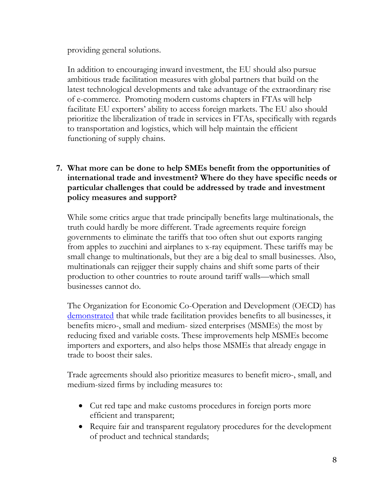providing general solutions.

In addition to encouraging inward investment, the EU should also pursue ambitious trade facilitation measures with global partners that build on the latest technological developments and take advantage of the extraordinary rise of e-commerce. Promoting modern customs chapters in FTAs will help facilitate EU exporters' ability to access foreign markets. The EU also should prioritize the liberalization of trade in services in FTAs, specifically with regards to transportation and logistics, which will help maintain the efficient functioning of supply chains.

# **7. What more can be done to help SMEs benefit from the opportunities of international trade and investment? Where do they have specific needs or particular challenges that could be addressed by trade and investment policy measures and support?**

While some critics argue that trade principally benefits large multinationals, the truth could hardly be more different. Trade agreements require foreign governments to eliminate the tariffs that too often shut out exports ranging from apples to zucchini and airplanes to x-ray equipment. These tariffs may be small change to multinationals, but they are a big deal to small businesses. Also, multinationals can rejigger their supply chains and shift some parts of their production to other countries to route around tariff walls—which small businesses cannot do.

The Organization for Economic Co-Operation and Development (OECD) has [demonstrated](https://www.oecd-ilibrary.org/trade/helping-smes-internationalise-through-trade-facilitation_2050e6b0-en) that while trade facilitation provides benefits to all businesses, it benefits micro-, small and medium- sized enterprises (MSMEs) the most by reducing fixed and variable costs. These improvements help MSMEs become importers and exporters, and also helps those MSMEs that already engage in trade to boost their sales.

Trade agreements should also prioritize measures to benefit micro-, small, and medium-sized firms by including measures to:

- Cut red tape and make customs procedures in foreign ports more efficient and transparent;
- Require fair and transparent regulatory procedures for the development of product and technical standards;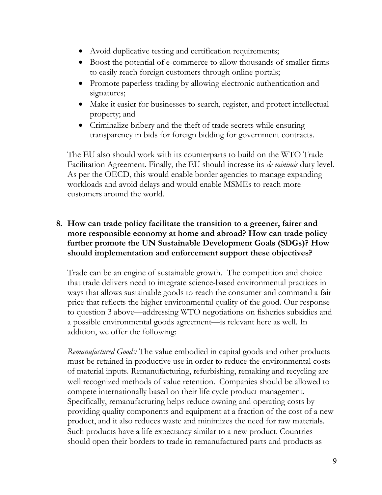- Avoid duplicative testing and certification requirements;
- Boost the potential of e-commerce to allow thousands of smaller firms to easily reach foreign customers through online portals;
- Promote paperless trading by allowing electronic authentication and signatures;
- Make it easier for businesses to search, register, and protect intellectual property; and
- Criminalize bribery and the theft of trade secrets while ensuring transparency in bids for foreign bidding for government contracts.

The EU also should work with its counterparts to build on the WTO Trade Facilitation Agreement. Finally, the EU should increase its *de minimis* duty level. As per the OECD, this would enable border agencies to manage expanding workloads and avoid delays and would enable MSMEs to reach more customers around the world.

### **8. How can trade policy facilitate the transition to a greener, fairer and more responsible economy at home and abroad? How can trade policy further promote the UN Sustainable Development Goals (SDGs)? How should implementation and enforcement support these objectives?**

Trade can be an engine of sustainable growth. The competition and choice that trade delivers need to integrate science-based environmental practices in ways that allows sustainable goods to reach the consumer and command a fair price that reflects the higher environmental quality of the good. Our response to question 3 above—addressing WTO negotiations on fisheries subsidies and a possible environmental goods agreement—is relevant here as well. In addition, we offer the following:

*Remanufactured Goods:* The value embodied in capital goods and other products must be retained in productive use in order to reduce the environmental costs of material inputs. Remanufacturing, refurbishing, remaking and recycling are well recognized methods of value retention. Companies should be allowed to compete internationally based on their life cycle product management. Specifically, remanufacturing helps reduce owning and operating costs by providing quality components and equipment at a fraction of the cost of a new product, and it also reduces waste and minimizes the need for raw materials. Such products have a life expectancy similar to a new product. Countries should open their borders to trade in remanufactured parts and products as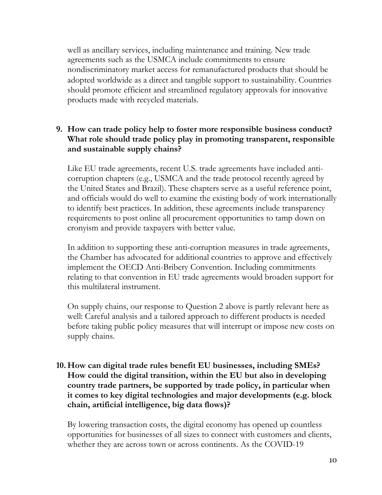well as ancillary services, including maintenance and training. New trade agreements such as the USMCA include commitments to ensure nondiscriminatory market access for remanufactured products that should be adopted worldwide as a direct and tangible support to sustainability. Countries should promote efficient and streamlined regulatory approvals for innovative products made with recycled materials.

# **9. How can trade policy help to foster more responsible business conduct? What role should trade policy play in promoting transparent, responsible and sustainable supply chains?**

Like EU trade agreements, recent U.S. trade agreements have included anticorruption chapters (e.g., USMCA and the trade protocol recently agreed by the United States and Brazil). These chapters serve as a useful reference point, and officials would do well to examine the existing body of work internationally to identify best practices. In addition, these agreements include transparency requirements to post online all procurement opportunities to tamp down on cronyism and provide taxpayers with better value.

In addition to supporting these anti-corruption measures in trade agreements, the Chamber has advocated for additional countries to approve and effectively implement the OECD Anti-Bribery Convention. Including commitments relating to that convention in EU trade agreements would broaden support for this multilateral instrument.

On supply chains, our response to Question 2 above is partly relevant here as well: Careful analysis and a tailored approach to different products is needed before taking public policy measures that will interrupt or impose new costs on supply chains.

## **10. How can digital trade rules benefit EU businesses, including SMEs? How could the digital transition, within the EU but also in developing country trade partners, be supported by trade policy, in particular when it comes to key digital technologies and major developments (e.g. block chain, artificial intelligence, big data flows)?**

By lowering transaction costs, the digital economy has opened up countless opportunities for businesses of all sizes to connect with customers and clients, whether they are across town or across continents. As the COVID-19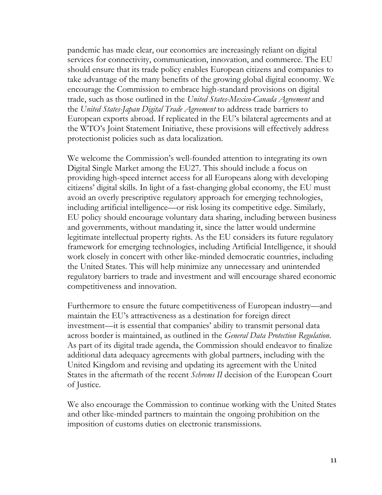pandemic has made clear, our economies are increasingly reliant on digital services for connectivity, communication, innovation, and commerce. The EU should ensure that its trade policy enables European citizens and companies to take advantage of the many benefits of the growing global digital economy. We encourage the Commission to embrace high-standard provisions on digital trade, such as those outlined in the *United States-Mexico-Canada Agreement* and the *United States-Japan Digital Trade Agreement* to address trade barriers to European exports abroad. If replicated in the EU's bilateral agreements and at the WTO's Joint Statement Initiative, these provisions will effectively address protectionist policies such as data localization.

We welcome the Commission's well-founded attention to integrating its own Digital Single Market among the EU27. This should include a focus on providing high-speed internet access for all Europeans along with developing citizens' digital skills. In light of a fast-changing global economy, the EU must avoid an overly prescriptive regulatory approach for emerging technologies, including artificial intelligence—or risk losing its competitive edge. Similarly, EU policy should encourage voluntary data sharing, including between business and governments, without mandating it, since the latter would undermine legitimate intellectual property rights. As the EU considers its future regulatory framework for emerging technologies, including Artificial Intelligence, it should work closely in concert with other like-minded democratic countries, including the United States. This will help minimize any unnecessary and unintended regulatory barriers to trade and investment and will encourage shared economic competitiveness and innovation.

Furthermore to ensure the future competitiveness of European industry—and maintain the EU's attractiveness as a destination for foreign direct investment—it is essential that companies' ability to transmit personal data across border is maintained, as outlined in the *General Data Protection Regulation*. As part of its digital trade agenda, the Commission should endeavor to finalize additional data adequacy agreements with global partners, including with the United Kingdom and revising and updating its agreement with the United States in the aftermath of the recent *Schrems II* decision of the European Court of Justice.

We also encourage the Commission to continue working with the United States and other like-minded partners to maintain the ongoing prohibition on the imposition of customs duties on electronic transmissions.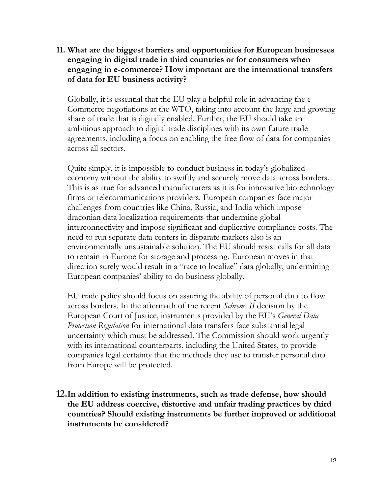**11. What are the biggest barriers and opportunities for European businesses engaging in digital trade in third countries or for consumers when engaging in e-commerce? How important are the international transfers of data for EU business activity?**

Globally, it is essential that the EU play a helpful role in advancing the e-Commerce negotiations at the WTO, taking into account the large and growing share of trade that is digitally enabled. Further, the EU should take an ambitious approach to digital trade disciplines with its own future trade agreements, including a focus on enabling the free flow of data for companies across all sectors.

Quite simply, it is impossible to conduct business in today's globalized economy without the ability to swiftly and securely move data across borders. This is as true for advanced manufacturers as it is for innovative biotechnology firms or telecommunications providers. European companies face major challenges from countries like China, Russia, and India which impose draconian data localization requirements that undermine global interconnectivity and impose significant and duplicative compliance costs. The need to run separate data centers in disparate markets also is an environmentally unsustainable solution. The EU should resist calls for all data to remain in Europe for storage and processing. European moves in that direction surely would result in a "race to localize" data globally, undermining European companies' ability to do business globally.

EU trade policy should focus on assuring the ability of personal data to flow across borders. In the aftermath of the recent *Schrems II* decision by the European Court of Justice, instruments provided by the EU's *General Data Protection Regulation* for international data transfers face substantial legal uncertainty which must be addressed. The Commission should work urgently with its international counterparts, including the United States, to provide companies legal certainty that the methods they use to transfer personal data from Europe will be protected.

**12.In addition to existing instruments, such as trade defense, how should the EU address coercive, distortive and unfair trading practices by third countries? Should existing instruments be further improved or additional instruments be considered?**